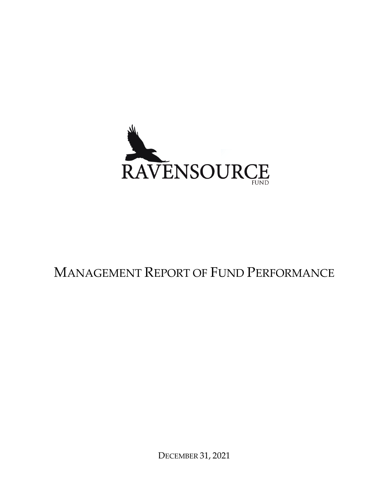

# MANAGEMENT REPORT OF FUND PERFORMANCE

DECEMBER 31, 2021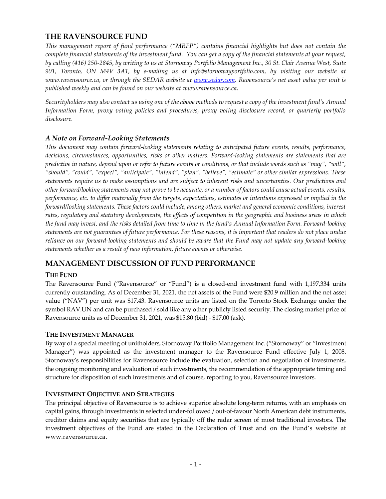# **THE RAVENSOURCE FUND**

*This management report of fund performance ("MRFP") contains financial highlights but does not contain the complete financial statements of the investment fund. You can get a copy of the financial statements at your request, by calling (416) 250-2845, by writing to us at Stornoway Portfolio Management Inc., 30 St. Clair Avenue West, Suite 901, Toronto, ON M4V 3A1, by e-mailing us at info@stornowayportfolio.com, by visiting our website at www.ravensource.ca, or through the SEDAR website at [www.sedar.com.](http://www.sedar.com/) Ravensource's net asset value per unit is published weekly and can be found on our website at www.ravensource.ca.*

*Securityholders may also contact us using one of the above methods to request a copy of the investment fund's Annual Information Form, proxy voting policies and procedures, proxy voting disclosure record, or quarterly portfolio disclosure.*

# *A Note on Forward-Looking Statements*

*This document may contain forward-looking statements relating to anticipated future events, results, performance, decisions, circumstances, opportunities, risks or other matters. Forward-looking statements are statements that are predictive in nature, depend upon or refer to future events or conditions, or that include words such as "may", "will", "should", "could", "expect", "anticipate", "intend", "plan", "believe", "estimate" or other similar expressions. These statements require us to make assumptions and are subject to inherent risks and uncertainties. Our predictions and other forward/looking statements may not prove to be accurate, or a number of factors could cause actual events, results, performance, etc. to differ materially from the targets, expectations, estimates or intentions expressed or implied in the forward/looking statements. These factors could include, among others, market and general economic conditions, interest rates, regulatory and statutory developments, the effects of competition in the geographic and business areas in which the fund may invest, and the risks detailed from time to time in the fund's Annual Information Form. Forward-looking statements are not guarantees of future performance. For these reasons, it is important that readers do not place undue reliance on our forward-looking statements and should be aware that the Fund may not update any forward-looking statements whether as a result of new information, future events or otherwise.*

# **MANAGEMENT DISCUSSION OF FUND PERFORMANCE**

# **THE FUND**

The Ravensource Fund ("Ravensource" or "Fund") is a closed-end investment fund with 1,197,334 units currently outstanding. As of December 31, 2021, the net assets of the Fund were \$20.9 million and the net asset value ("NAV") per unit was \$17.43. Ravensource units are listed on the Toronto Stock Exchange under the symbol RAV.UN and can be purchased / sold like any other publicly listed security. The closing market price of Ravensource units as of December 31, 2021, was \$15.80 (bid) - \$17.00 (ask).

# **THE INVESTMENT MANAGER**

By way of a special meeting of unitholders, Stornoway Portfolio Management Inc. ("Stornoway" or "Investment Manager") was appointed as the investment manager to the Ravensource Fund effective July 1, 2008. Stornoway's responsibilities for Ravensource include the evaluation, selection and negotiation of investments, the ongoing monitoring and evaluation of such investments, the recommendation of the appropriate timing and structure for disposition of such investments and of course, reporting to you, Ravensource investors.

# **INVESTMENT OBJECTIVE AND STRATEGIES**

The principal objective of Ravensource is to achieve superior absolute long-term returns, with an emphasis on capital gains, through investments in selected under-followed / out-of-favour North American debt instruments, creditor claims and equity securities that are typically off the radar screen of most traditional investors. The investment objectives of the Fund are stated in the Declaration of Trust and on the Fund's website at www.ravensource.ca.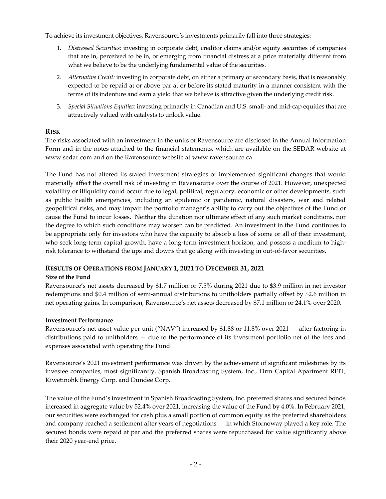To achieve its investment objectives, Ravensource's investments primarily fall into three strategies:

- 1. *Distressed Securities:* investing in corporate debt, creditor claims and/or equity securities of companies that are in, perceived to be in, or emerging from financial distress at a price materially different from what we believe to be the underlying fundamental value of the securities.
- 2. *Alternative Credit:* investing in corporate debt, on either a primary or secondary basis, that is reasonably expected to be repaid at or above par at or before its stated maturity in a manner consistent with the terms of its indenture and earn a yield that we believe is attractive given the underlying credit risk.
- 3. *Special Situations Equities:* investing primarily in Canadian and U.S. small- and mid-cap equities that are attractively valued with catalysts to unlock value.

## **RISK**

The risks associated with an investment in the units of Ravensource are disclosed in the Annual Information Form and in the notes attached to the financial statements, which are available on the SEDAR website at www.sedar.com and on the Ravensource website at www.ravensource.ca.

The Fund has not altered its stated investment strategies or implemented significant changes that would materially affect the overall risk of investing in Ravensource over the course of 2021. However, unexpected volatility or illiquidity could occur due to legal, political, regulatory, economic or other developments, such as public health emergencies, including an epidemic or pandemic, natural disasters, war and related geopolitical risks, and may impair the portfolio manager's ability to carry out the objectives of the Fund or cause the Fund to incur losses. Neither the duration nor ultimate effect of any such market conditions, nor the degree to which such conditions may worsen can be predicted. An investment in the Fund continues to be appropriate only for investors who have the capacity to absorb a loss of some or all of their investment, who seek long-term capital growth, have a long-term investment horizon, and possess a medium to highrisk tolerance to withstand the ups and downs that go along with investing in out-of-favor securities.

# **RESULTS OF OPERATIONS FROM JANUARY 1, 2021 TO DECEMBER 31, 2021**

## **Size of the Fund**

Ravensource's net assets decreased by \$1.7 million or 7.5% during 2021 due to \$3.9 million in net investor redemptions and \$0.4 million of semi-annual distributions to unitholders partially offset by \$2.6 million in net operating gains. In comparison, Ravensource's net assets decreased by \$7.1 million or 24.1% over 2020.

## **Investment Performance**

Ravensource's net asset value per unit ("NAV") increased by \$1.88 or 11.8% over 2021 — after factoring in distributions paid to unitholders — due to the performance of its investment portfolio net of the fees and expenses associated with operating the Fund.

Ravensource's 2021 investment performance was driven by the achievement of significant milestones by its investee companies, most significantly, Spanish Broadcasting System, Inc., Firm Capital Apartment REIT, Kiwetinohk Energy Corp. and Dundee Corp.

The value of the Fund's investment in Spanish Broadcasting System, Inc. preferred shares and secured bonds increased in aggregate value by 52.4% over 2021, increasing the value of the Fund by 4.0%. In February 2021, our securities were exchanged for cash plus a small portion of common equity as the preferred shareholders and company reached a settlement after years of negotiations — in which Stornoway played a key role. The secured bonds were repaid at par and the preferred shares were repurchased for value significantly above their 2020 year-end price.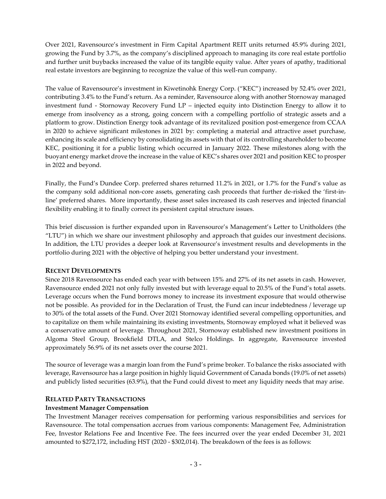Over 2021, Ravensource's investment in Firm Capital Apartment REIT units returned 45.9% during 2021, growing the Fund by 3.7%, as the company's disciplined approach to managing its core real estate portfolio and further unit buybacks increased the value of its tangible equity value. After years of apathy, traditional real estate investors are beginning to recognize the value of this well-run company.

The value of Ravensource's investment in Kiwetinohk Energy Corp. ("KEC") increased by 52.4% over 2021, contributing 3.4% to the Fund's return. As a reminder, Ravensource along with another Stornoway managed investment fund - Stornoway Recovery Fund LP – injected equity into Distinction Energy to allow it to emerge from insolvency as a strong, going concern with a compelling portfolio of strategic assets and a platform to grow. Distinction Energy took advantage of its revitalized position post-emergence from CCAA in 2020 to achieve significant milestones in 2021 by: completing a material and attractive asset purchase, enhancing its scale and efficiency by consolidating its assets with that of its controlling shareholder to become KEC, positioning it for a public listing which occurred in January 2022. These milestones along with the buoyant energy market drove the increase in the value of KEC's shares over 2021 and position KEC to prosper in 2022 and beyond.

Finally, the Fund's Dundee Corp. preferred shares returned 11.2% in 2021, or 1.7% for the Fund's value as the company sold additional non-core assets, generating cash proceeds that further de-risked the 'first-inline' preferred shares. More importantly, these asset sales increased its cash reserves and injected financial flexibility enabling it to finally correct its persistent capital structure issues.

This brief discussion is further expanded upon in Ravensource's Management's Letter to Unitholders (the "LTU") in which we share our investment philosophy and approach that guides our investment decisions. In addition, the LTU provides a deeper look at Ravensource's investment results and developments in the portfolio during 2021 with the objective of helping you better understand your investment.

## **RECENT DEVELOPMENTS**

Since 2018 Ravensource has ended each year with between 15% and 27% of its net assets in cash. However, Ravensource ended 2021 not only fully invested but with leverage equal to 20.5% of the Fund's total assets. Leverage occurs when the Fund borrows money to increase its investment exposure that would otherwise not be possible. As provided for in the Declaration of Trust, the Fund can incur indebtedness / leverage up to 30% of the total assets of the Fund. Over 2021 Stornoway identified several compelling opportunities, and to capitalize on them while maintaining its existing investments, Stornoway employed what it believed was a conservative amount of leverage. Throughout 2021, Stornoway established new investment positions in Algoma Steel Group, Brookfield DTLA, and Stelco Holdings. In aggregate, Ravensource invested approximately 56.9% of its net assets over the course 2021.

The source of leverage was a margin loan from the Fund's prime broker. To balance the risks associated with leverage, Ravensource has a large position in highly liquid Government of Canada bonds (19.0% of net assets) and publicly listed securities (63.9%), that the Fund could divest to meet any liquidity needs that may arise.

#### **RELATED PARTY TRANSACTIONS**

#### **Investment Manager Compensation**

The Investment Manager receives compensation for performing various responsibilities and services for Ravensource. The total compensation accrues from various components: Management Fee, Administration Fee, Investor Relations Fee and Incentive Fee. The fees incurred over the year ended December 31, 2021 amounted to \$272,172, including HST (2020 - \$302,014). The breakdown of the fees is as follows: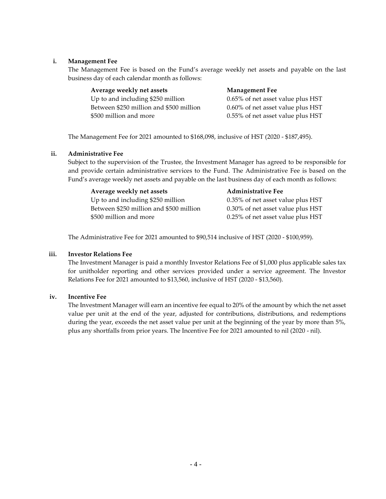### **i. Management Fee**

The Management Fee is based on the Fund's average weekly net assets and payable on the last business day of each calendar month as follows:

| Average weekly net assets               | <b>Management Fee</b>             |
|-----------------------------------------|-----------------------------------|
| Up to and including \$250 million       | 0.65% of net asset value plus HST |
| Between \$250 million and \$500 million | 0.60% of net asset value plus HST |
| \$500 million and more                  | 0.55% of net asset value plus HST |

The Management Fee for 2021 amounted to \$168,098, inclusive of HST (2020 - \$187,495).

#### **ii. Administrative Fee**

Subject to the supervision of the Trustee, the Investment Manager has agreed to be responsible for and provide certain administrative services to the Fund. The Administrative Fee is based on the Fund's average weekly net assets and payable on the last business day of each month as follows:

| Average weekly net assets               | <b>Administrative Fee</b>         |
|-----------------------------------------|-----------------------------------|
| Up to and including \$250 million       | 0.35% of net asset value plus HST |
| Between \$250 million and \$500 million | 0.30% of net asset value plus HST |
| \$500 million and more                  | 0.25% of net asset value plus HST |

The Administrative Fee for 2021 amounted to \$90,514 inclusive of HST (2020 - \$100,959).

#### **iii. Investor Relations Fee**

The Investment Manager is paid a monthly Investor Relations Fee of \$1,000 plus applicable sales tax for unitholder reporting and other services provided under a service agreement. The Investor Relations Fee for 2021 amounted to \$13,560, inclusive of HST (2020 - \$13,560).

#### **iv. Incentive Fee**

The Investment Manager will earn an incentive fee equal to 20% of the amount by which the net asset value per unit at the end of the year, adjusted for contributions, distributions, and redemptions during the year, exceeds the net asset value per unit at the beginning of the year by more than 5%, plus any shortfalls from prior years. The Incentive Fee for 2021 amounted to nil (2020 - nil).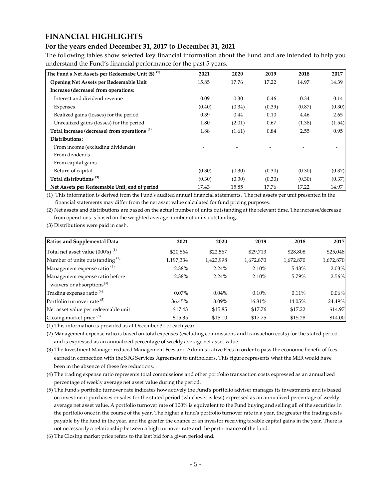# **FINANCIAL HIGHLIGHTS**

# **For the years ended December 31, 2017 to December 31, 2021**

The following tables show selected key financial information about the Fund and are intended to help you understand the Fund's financial performance for the past 5 years.

| The Fund's Net Assets per Redeemabe Unit (\$) <sup>(1)</sup> | 2021   | 2020   | 2019   | 2018   | 2017   |
|--------------------------------------------------------------|--------|--------|--------|--------|--------|
| Opening Net Assets per Redeemable Unit                       | 15.85  | 17.76  | 17.22  | 14.97  | 14.39  |
| Increase (decrease) from operations:                         |        |        |        |        |        |
| Interest and dividend revenue                                | 0.09   | 0.30   | 0.46   | 0.34   | 0.14   |
| Expenses                                                     | (0.40) | (0.34) | (0.39) | (0.87) | (0.30) |
| Realized gains (losses) for the period                       | 0.39   | 0.44   | 0.10   | 4.46   | 2.65   |
| Unrealized gains (losses) for the period                     | 1.80   | (2.01) | 0.67   | (1.38) | (1.54) |
| Total increase (decrease) from operations <sup>(2)</sup>     | 1.88   | (1.61) | 0.84   | 2.55   | 0.95   |
| Distributions:                                               |        |        |        |        |        |
| From income (excluding dividends)                            |        |        |        |        |        |
| From dividends                                               |        |        |        |        | -      |
| From capital gains                                           |        |        |        |        |        |
| Return of capital                                            | (0.30) | (0.30) | (0.30) | (0.30) | (0.37) |
| Total distributions <sup>(3)</sup>                           | (0.30) | (0.30) | (0.30) | (0.30) | (0.37) |
| Net Assets per Redeemable Unit, end of period                | 17.43  | 15.85  | 17.76  | 17.22  | 14.97  |

(1) This information is derived from the Fund's audited annual financial statements. The net assets per unit presented in the financial statements may differ from the net asset value calculated for fund pricing purposes.

(2) Net assets and distributions are based on the actual number of units outstanding at the relevant time. The increase/decrease from operations is based on the weighted average number of units outstanding.

(3) Distributions were paid in cash.

| Ratios and Supplemental Data                 | 2021      | 2020      | 2019      | 2018      | 2017      |
|----------------------------------------------|-----------|-----------|-----------|-----------|-----------|
| Total net asset value $(000)$ <sup>(1)</sup> | \$20,864  | \$22,567  | \$29,713  | \$28,808  | \$25,048  |
| Number of units outstanding <sup>(1)</sup>   | 1,197,334 | 1,423,998 | 1,672,870 | 1,672,870 | 1,672,870 |
| Management expense ratio <sup>(2)</sup>      | 2.38%     | 2.24%     | 2.10%     | 5.43%     | 2.03%     |
| Management expense ratio before              | 2.38%     | 2.24%     | 2.10%     | 5.79%     | 2.56%     |
| waivers or absorptions <sup>(3)</sup>        |           |           |           |           |           |
| Trading expense ratio <sup>(4)</sup>         | $0.07\%$  | $0.04\%$  | $0.10\%$  | $0.11\%$  | $0.06\%$  |
| Portfolio turnover rate <sup>(5)</sup>       | 36.45%    | 8.09%     | 16.81%    | 14.05%    | 24.49%    |
| Net asset value per redeemable unit          | \$17.43   | \$15.85   | \$17.76   | \$17.22   | \$14.97   |
| Closing market price $(6)$                   | \$15.35   | \$15.10   | \$17.75   | \$15.28   | \$14.00   |

(1) This information is provided as at December 31 of each year.

(2) Management expense ratio is based on total expenses (excluding commissions and transaction costs) for the stated period and is expressed as an annualized percentage of weekly average net asset value.

(3) The Investment Manager reduced Management Fees and Administrative Fees in order to pass the economic benefit of fees earned in connection with the SFG Services Agreement to unitholders. This figure represents what the MER would have been in the absence of these fee reductions.

(4) The trading expense ratio represents total commissions and other portfolio transaction costs expressed as an annualized percentage of weekly average net asset value during the period.

(5) The Fund's portfolio turnover rate indicates how actively the Fund's portfolio adviser manages its investments and is based on investment purchases or sales for the stated period (whichever is less) expressed as an annualized percentage of weekly average net asset value. A portfolio turnover rate of 100% is equivalent to the Fund buying and selling all of the securities in the portfolio once in the course of the year. The higher a fund's portfolio turnover rate in a year, the greater the trading costs payable by the fund in the year, and the greater the chance of an investor receiving taxable capital gains in the year. There is not necessarily a relationship between a high turnover rate and the performance of the fund.

(6) The Closing market price refers to the last bid for a given period end.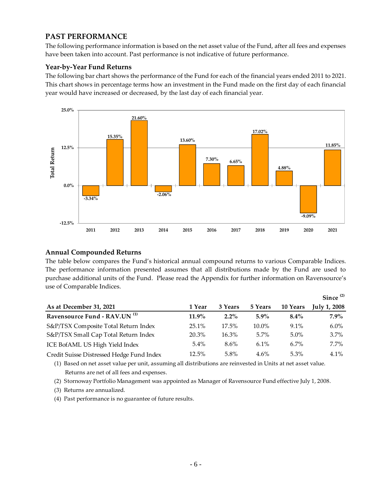# **PAST PERFORMANCE**

The following performance information is based on the net asset value of the Fund, after all fees and expenses have been taken into account. Past performance is not indicative of future performance.

# **Year-by-Year Fund Returns**

The following bar chart shows the performance of the Fund for each of the financial years ended 2011 to 2021. This chart shows in percentage terms how an investment in the Fund made on the first day of each financial year would have increased or decreased, by the last day of each financial year.



## **Annual Compounded Returns**

The table below compares the Fund's historical annual compound returns to various Comparable Indices. The performance information presented assumes that all distributions made by the Fund are used to purchase additional units of the Fund. Please read the Appendix for further information on Ravensource's use of Comparable Indices.

|                                           |          |         |          |          | Since $(2)$         |
|-------------------------------------------|----------|---------|----------|----------|---------------------|
| As at December 31, 2021                   | 1 Year   | 3 Years | 5 Years  | 10 Years | <b>July 1, 2008</b> |
| Ravensource Fund - RAV.UN <sup>(1)</sup>  | $11.9\%$ | $2.2\%$ | $5.9\%$  | $8.4\%$  | $7.9\%$             |
| S&P/TSX Composite Total Return Index      | 25.1%    | 17.5%   | $10.0\%$ | $9.1\%$  | $6.0\%$             |
| S&P/TSX Small Cap Total Return Index      | 20.3%    | 16.3%   | $5.7\%$  | 5.0%     | 3.7%                |
| ICE BofAML US High Yield Index            | $5.4\%$  | 8.6%    | 6.1%     | $6.7\%$  | $7.7\%$             |
| Credit Suisse Distressed Hedge Fund Index | 12.5%    | $5.8\%$ | $4.6\%$  | $5.3\%$  | $4.1\%$             |

(1) Based on net asset value per unit, assuming all distributions are reinvested in Units at net asset value. Returns are net of all fees and expenses.

- (2) Stornoway Portfolio Management was appointed as Manager of Ravensource Fund effective July 1, 2008.
- (3) Returns are annualized.
- (4) Past performance is no guarantee of future results.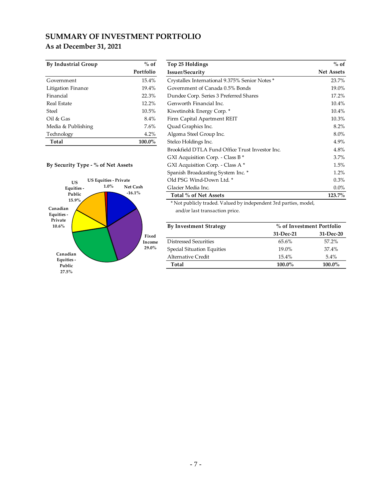# **SUMMARY OF INVESTMENT PORTFOLIO As at December 31, 2021**

| <b>By Industrial Group</b> | $%$ of    |
|----------------------------|-----------|
|                            | Portfolio |
| Government                 | 15.4%     |
| Litigation Finance         | 19.4%     |
| Financial                  | 22.3%     |
| <b>Real Estate</b>         | 12.2%     |
| Steel                      | 10.5%     |
| Oil & Gas                  | 8.4%      |
| Media & Publishing         | 7.6%      |
| Technology                 | 4.2%      |
| Total                      | 100.0%    |

#### **By Security Type - % of Net Assets**



| By Industrial Group                       | $%$ of    | Top 25 Holdings                                 | $%$ of            |
|-------------------------------------------|-----------|-------------------------------------------------|-------------------|
|                                           | Portfolio | Issuer/Security                                 | <b>Net Assets</b> |
| Government                                | 15.4%     | Crystallex International 9.375% Senior Notes*   | 23.7%             |
| Litigation Finance                        | 19.4%     | Government of Canada 0.5% Bonds                 | 19.0%             |
| Financial                                 | 22.3%     | Dundee Corp. Series 3 Preferred Shares          | 17.2%             |
| Real Estate                               | 12.2%     | Genworth Financial Inc.                         | 10.4%             |
| Steel                                     | 10.5%     | Kiwetinohk Energy Corp. *                       | 10.4%             |
| Oil & Gas                                 | 8.4%      | Firm Capital Apartment REIT                     | 10.3%             |
| Media & Publishing                        | 7.6%      | Quad Graphics Inc.                              | $8.2\%$           |
| Technology                                | 4.2%      | Algoma Steel Group Inc.                         | $8.0\%$           |
| Total                                     | 100.0%    | Stelco Holdings Inc.                            | $4.9\%$           |
|                                           |           | Brookfield DTLA Fund Office Trust Investor Inc. | $4.8\%$           |
|                                           |           | GXI Acquisition Corp. - Class B *               | $3.7\%$           |
| By Security Type - % of Net Assets        |           | GXI Acquisition Corp. - Class A*                | 1.5%              |
|                                           |           | Spanish Broadcasting System Inc. *              | $1.2\%$           |
| <b>US Equities - Private</b><br><b>US</b> |           | Old PSG Wind-Down Ltd. *                        | 0.3%              |
| $1.0\%$<br>Equities -                     | Net Cash  | Glacier Media Inc.                              | $0.0\%$           |
| Public                                    | $-16.1%$  | Total % of Net Assets                           | 123.7%            |
| 15.9%                                     |           |                                                 |                   |

\* Not publicly traded. Valued by independent 3rd parties, model, and/or last transaction price.

| <b>By Investment Strategy</b> |           | % of Investment Portfolio |  |  |
|-------------------------------|-----------|---------------------------|--|--|
|                               | 31-Dec-21 | $31-Dec-20$               |  |  |
| Distressed Securities         | 65.6%     | $57.2\%$                  |  |  |
| Special Situation Equities    | $19.0\%$  | $37.4\%$                  |  |  |
| <b>Alternative Credit</b>     | 15.4%     | $5.4\%$                   |  |  |
| Total                         | 100.0%    | 100.0%                    |  |  |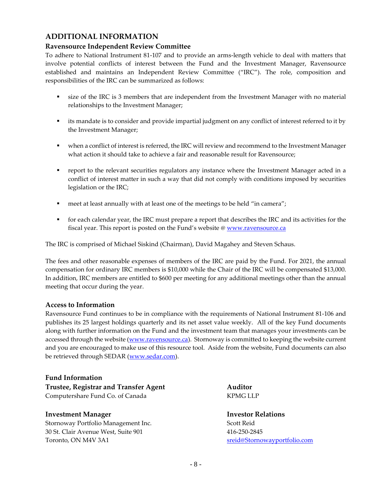# **ADDITIONAL INFORMATION**

## **Ravensource Independent Review Committee**

To adhere to National Instrument 81-107 and to provide an arms-length vehicle to deal with matters that involve potential conflicts of interest between the Fund and the Investment Manager, Ravensource established and maintains an Independent Review Committee ("IRC"). The role, composition and responsibilities of the IRC can be summarized as follows:

- size of the IRC is 3 members that are independent from the Investment Manager with no material relationships to the Investment Manager;
- its mandate is to consider and provide impartial judgment on any conflict of interest referred to it by the Investment Manager;
- when a conflict of interest is referred, the IRC will review and recommend to the Investment Manager what action it should take to achieve a fair and reasonable result for Ravensource;
- report to the relevant securities regulators any instance where the Investment Manager acted in a conflict of interest matter in such a way that did not comply with conditions imposed by securities legislation or the IRC;
- meet at least annually with at least one of the meetings to be held "in camera";
- for each calendar year, the IRC must prepare a report that describes the IRC and its activities for the fiscal year. This report is posted on the Fund's website @ [www.ravensource.ca](http://www.ravensource.ca/)

The IRC is comprised of Michael Siskind (Chairman), David Magahey and Steven Schaus.

The fees and other reasonable expenses of members of the IRC are paid by the Fund. For 2021, the annual compensation for ordinary IRC members is \$10,000 while the Chair of the IRC will be compensated \$13,000. In addition, IRC members are entitled to \$600 per meeting for any additional meetings other than the annual meeting that occur during the year.

## **Access to Information**

Ravensource Fund continues to be in compliance with the requirements of National Instrument 81-106 and publishes its 25 largest holdings quarterly and its net asset value weekly. All of the key Fund documents along with further information on the Fund and the investment team that manages your investments can be accessed through the website [\(www.ravensource.ca\)](http://www.ravensource.ca/). Stornoway is committed to keeping the website current and you are encouraged to make use of this resource tool. Aside from the website, Fund documents can also be retrieved through SEDAR [\(www.sedar.com\)](http://www.sedar.com/).

## **Fund Information**

**Trustee, Registrar and Transfer Agent Auditor** Computershare Fund Co. of Canada KPMG LLP

## **Investment Manager**  The Second Second Second Second Second Second Second Second Second Second Second Second Second Second Second Second Second Second Second Second Second Second Second Second Second Second Second Second

Stornoway Portfolio Management Inc. Scott Reid 30 St. Clair Avenue West, Suite 901 416-250-2845 Toronto, ON M4V 3A1 [sreid@Stornowayportfolio.com](mailto:sreid@Stornowayportfolio.com)